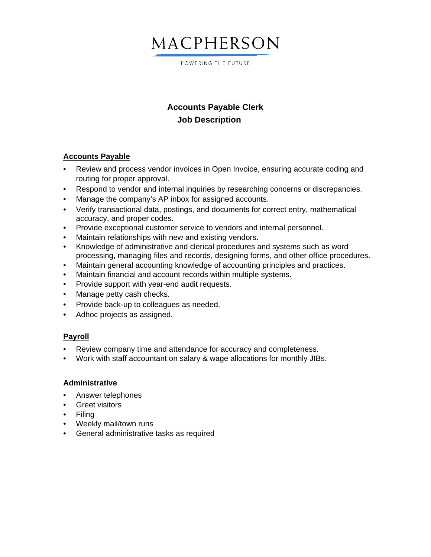# MACPHERSON

POWERING THE FUTURE

### **Accounts Payable Clerk Job Description**

### **Accounts Payable**

- Review and process vendor invoices in Open Invoice, ensuring accurate coding and routing for proper approval.
- Respond to vendor and internal inquiries by researching concerns or discrepancies.
- Manage the company's AP inbox for assigned accounts.
- Verify transactional data, postings, and documents for correct entry, mathematical accuracy, and proper codes.
- Provide exceptional customer service to vendors and internal personnel.
- Maintain relationships with new and existing vendors.
- Knowledge of administrative and clerical procedures and systems such as word processing, managing files and records, designing forms, and other office procedures.
- Maintain general accounting knowledge of accounting principles and practices.
- Maintain financial and account records within multiple systems.
- Provide support with year-end audit requests.
- Manage petty cash checks.
- Provide back-up to colleagues as needed.
- Adhoc projects as assigned.

### **Payroll**

- Review company time and attendance for accuracy and completeness.
- Work with staff accountant on salary & wage allocations for monthly JIBs.

### **Administrative**

- Answer telephones
- Greet visitors
- $\cdot$  Filing
- Weekly mail/town runs
- General administrative tasks as required